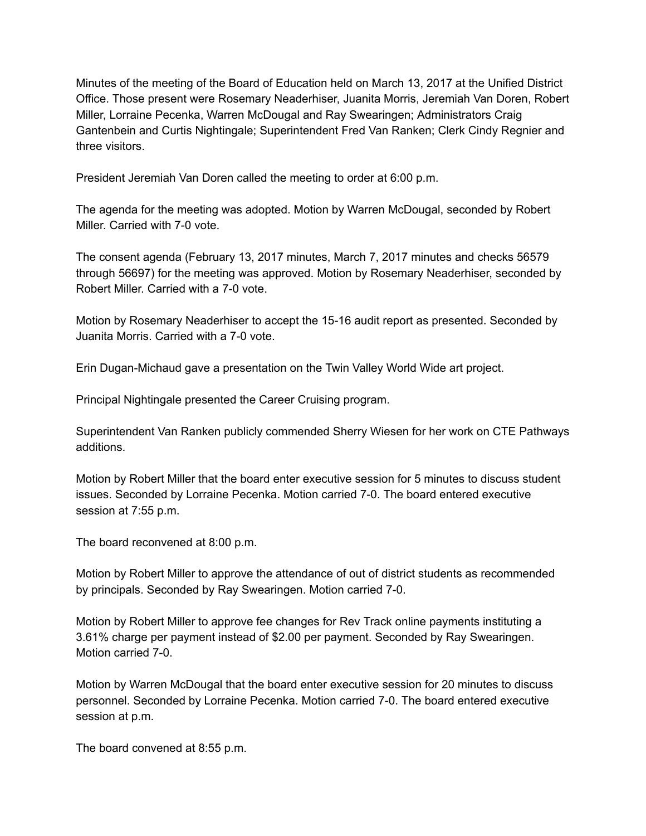Minutes of the meeting of the Board of Education held on March 13, 2017 at the Unified District Office. Those present were Rosemary Neaderhiser, Juanita Morris, Jeremiah Van Doren, Robert Miller, Lorraine Pecenka, Warren McDougal and Ray Swearingen; Administrators Craig Gantenbein and Curtis Nightingale; Superintendent Fred Van Ranken; Clerk Cindy Regnier and three visitors.

President Jeremiah Van Doren called the meeting to order at 6:00 p.m.

The agenda for the meeting was adopted. Motion by Warren McDougal, seconded by Robert Miller. Carried with 7-0 vote.

The consent agenda (February 13, 2017 minutes, March 7, 2017 minutes and checks 56579 through 56697) for the meeting was approved. Motion by Rosemary Neaderhiser, seconded by Robert Miller. Carried with a 7-0 vote.

Motion by Rosemary Neaderhiser to accept the 15-16 audit report as presented. Seconded by Juanita Morris. Carried with a 7-0 vote.

Erin Dugan-Michaud gave a presentation on the Twin Valley World Wide art project.

Principal Nightingale presented the Career Cruising program.

Superintendent Van Ranken publicly commended Sherry Wiesen for her work on CTE Pathways additions.

Motion by Robert Miller that the board enter executive session for 5 minutes to discuss student issues. Seconded by Lorraine Pecenka. Motion carried 7-0. The board entered executive session at 7:55 p.m.

The board reconvened at 8:00 p.m.

Motion by Robert Miller to approve the attendance of out of district students as recommended by principals. Seconded by Ray Swearingen. Motion carried 7-0.

Motion by Robert Miller to approve fee changes for Rev Track online payments instituting a 3.61% charge per payment instead of \$2.00 per payment. Seconded by Ray Swearingen. Motion carried 7-0.

Motion by Warren McDougal that the board enter executive session for 20 minutes to discuss personnel. Seconded by Lorraine Pecenka. Motion carried 7-0. The board entered executive session at p.m.

The board convened at 8:55 p.m.